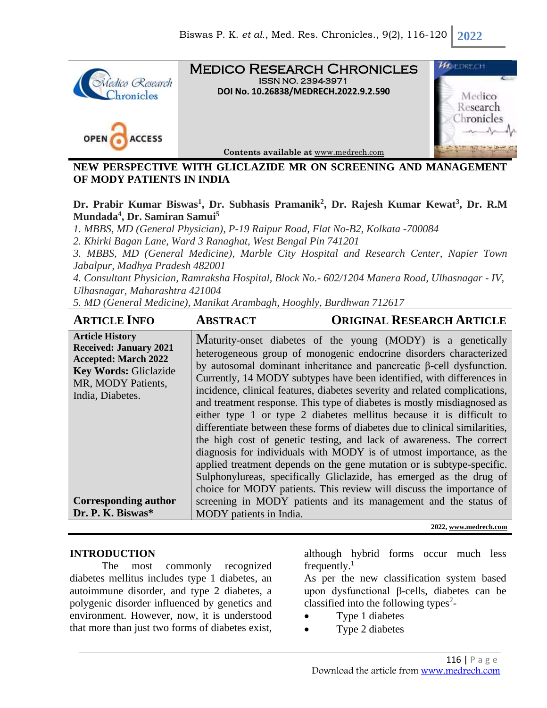

#### **NEW PERSPECTIVE WITH GLICLAZIDE MR ON SCREENING AND MANAGEMENT OF MODY PATIENTS IN INDIA**

**Dr. Prabir Kumar Biswas<sup>1</sup> , Dr. Subhasis Pramanik<sup>2</sup> , Dr. Rajesh Kumar Kewat<sup>3</sup> , Dr. R.M Mundada<sup>4</sup> , Dr. Samiran Samui<sup>5</sup>**

*1. MBBS, MD (General Physician), P-19 Raipur Road, Flat No-B2, Kolkata -700084*

*2. Khirki Bagan Lane, Ward 3 Ranaghat, West Bengal Pin 741201*

*3. MBBS, MD (General Medicine), Marble City Hospital and Research Center, Napier Town Jabalpur, Madhya Pradesh 482001*

*4. Consultant Physician, Ramraksha Hospital, Block No.- 602/1204 Manera Road, Ulhasnagar - IV, Ulhasnagar, Maharashtra 421004*

*5. MD (General Medicine), Manikat Arambagh, Hooghly, Burdhwan 712617*

| <b>ARTICLE INFO</b>                                                                                                                                                                                           | <b>ABSTRACT</b>         | <b>ORIGINAL RESEARCH ARTICLE</b>                                                                                                                                                                                                                                                                                                                                                                                                                                                                                                                                                                                                                                                                                                                                                                                                                                                                                                                                                                                                                      |
|---------------------------------------------------------------------------------------------------------------------------------------------------------------------------------------------------------------|-------------------------|-------------------------------------------------------------------------------------------------------------------------------------------------------------------------------------------------------------------------------------------------------------------------------------------------------------------------------------------------------------------------------------------------------------------------------------------------------------------------------------------------------------------------------------------------------------------------------------------------------------------------------------------------------------------------------------------------------------------------------------------------------------------------------------------------------------------------------------------------------------------------------------------------------------------------------------------------------------------------------------------------------------------------------------------------------|
| <b>Article History</b><br><b>Received: January 2021</b><br><b>Accepted: March 2022</b><br>Key Words: Gliclazide<br>MR, MODY Patients,<br>India, Diabetes.<br><b>Corresponding author</b><br>Dr. P. K. Biswas* | MODY patients in India. | Maturity-onset diabetes of the young (MODY) is a genetically<br>heterogeneous group of monogenic endocrine disorders characterized<br>by autosomal dominant inheritance and pancreatic $\beta$ -cell dysfunction.<br>Currently, 14 MODY subtypes have been identified, with differences in<br>incidence, clinical features, diabetes severity and related complications,<br>and treatment response. This type of diabetes is mostly misdiagnosed as<br>either type 1 or type 2 diabetes mellitus because it is difficult to<br>differentiate between these forms of diabetes due to clinical similarities,<br>the high cost of genetic testing, and lack of awareness. The correct<br>diagnosis for individuals with MODY is of utmost importance, as the<br>applied treatment depends on the gene mutation or is subtype-specific.<br>Sulphonylureas, specifically Gliclazide, has emerged as the drug of<br>choice for MODY patients. This review will discuss the importance of<br>screening in MODY patients and its management and the status of |
|                                                                                                                                                                                                               |                         | 2022, www.medrech.com                                                                                                                                                                                                                                                                                                                                                                                                                                                                                                                                                                                                                                                                                                                                                                                                                                                                                                                                                                                                                                 |

#### **INTRODUCTION**

The most commonly recognized diabetes mellitus includes type 1 diabetes, an autoimmune disorder, and type 2 diabetes, a polygenic disorder influenced by genetics and environment. However, now, it is understood that more than just two forms of diabetes exist,

although hybrid forms occur much less frequently. $<sup>1</sup>$ </sup>

As per the new classification system based upon dysfunctional β-cells, diabetes can be classified into the following types<sup>2</sup>-

- Type 1 diabetes
- Type 2 diabetes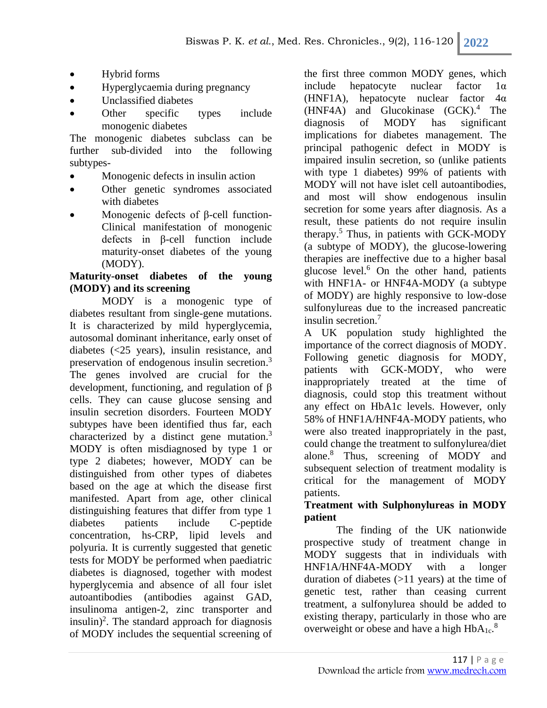- Hybrid forms
- Hyperglycaemia during pregnancy
- Unclassified diabetes
- Other specific types include monogenic diabetes

The monogenic diabetes subclass can be further sub-divided into the following subtypes-

- Monogenic defects in insulin action
- Other genetic syndromes associated with diabetes
- Monogenic defects of β-cell function-Clinical manifestation of monogenic defects in β-cell function include maturity-onset diabetes of the young (MODY).

## **Maturity-onset diabetes of the young (MODY) and its screening**

MODY is a monogenic type of diabetes resultant from single-gene mutations. It is characterized by mild hyperglycemia, autosomal dominant inheritance, early onset of diabetes (<25 years), insulin resistance, and preservation of endogenous insulin secretion.<sup>3</sup> The genes involved are crucial for the development, functioning, and regulation of β cells. They can cause glucose sensing and insulin secretion disorders. Fourteen MODY subtypes have been identified thus far, each characterized by a distinct gene mutation.<sup>3</sup> MODY is often misdiagnosed by type 1 or type 2 diabetes; however, MODY can be distinguished from other types of diabetes based on the age at which the disease first manifested. Apart from age, other clinical distinguishing features that differ from type 1 diabetes patients include C-peptide concentration, hs-CRP, lipid levels and polyuria. It is currently suggested that genetic tests for MODY be performed when paediatric diabetes is diagnosed, together with modest hyperglycemia and absence of all four islet autoantibodies (antibodies against GAD, insulinoma antigen-2, zinc transporter and  $insulin$ <sup>2</sup>. The standard approach for diagnosis of MODY includes the sequential screening of

the first three common MODY genes, which include hepatocyte nuclear factor 1α (HNF1A), hepatocyte nuclear factor 4α (HNF4A) and Glucokinase (GCK). <sup>4</sup> The diagnosis of MODY has significant implications for diabetes management. The principal pathogenic defect in MODY is impaired insulin secretion, so (unlike patients with type 1 diabetes) 99% of patients with MODY will not have islet cell autoantibodies, and most will show endogenous insulin secretion for some years after diagnosis. As a result, these patients do not require insulin therapy. <sup>5</sup> Thus, in patients with GCK-MODY (a subtype of MODY), the glucose-lowering therapies are ineffective due to a higher basal glucose level. <sup>6</sup> On the other hand, patients with HNF1A- or HNF4A-MODY (a subtype of MODY) are highly responsive to low-dose sulfonylureas due to the increased pancreatic insulin secretion. 7

A UK population study highlighted the importance of the correct diagnosis of MODY. Following genetic diagnosis for MODY, patients with GCK-MODY, who were inappropriately treated at the time of diagnosis, could stop this treatment without any effect on HbA1c levels. However, only 58% of HNF1A/HNF4A-MODY patients, who were also treated inappropriately in the past, could change the treatment to sulfonylurea/diet alone.<sup>8</sup> Thus, screening of MODY and subsequent selection of treatment modality is critical for the management of MODY patients.

## **Treatment with Sulphonylureas in MODY patient**

The finding of the UK nationwide prospective study of treatment change in MODY suggests that in individuals with HNF1A/HNF4A-MODY with a longer duration of diabetes (>11 years) at the time of genetic test, rather than ceasing current treatment, a sulfonylurea should be added to existing therapy, particularly in those who are overweight or obese and have a high  $HbA_{1c}$ .<sup>8</sup>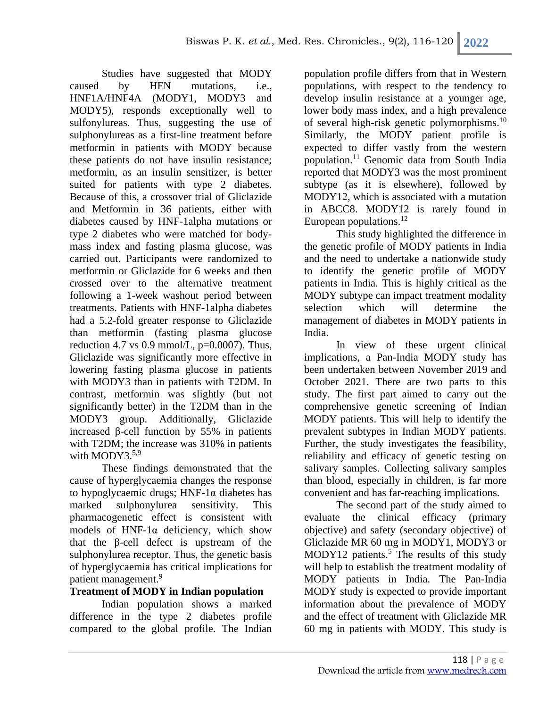Studies have suggested that MODY caused by HFN mutations, i.e., HNF1A/HNF4A (MODY1, MODY3 and MODY5), responds exceptionally well to sulfonylureas. Thus, suggesting the use of sulphonylureas as a first-line treatment before metformin in patients with MODY because these patients do not have insulin resistance; metformin, as an insulin sensitizer, is better suited for patients with type 2 diabetes. Because of this, a crossover trial of Gliclazide and Metformin in 36 patients, either with diabetes caused by HNF-1alpha mutations or type 2 diabetes who were matched for bodymass index and fasting plasma glucose, was carried out. Participants were randomized to metformin or Gliclazide for 6 weeks and then crossed over to the alternative treatment following a 1-week washout period between treatments. Patients with HNF-1alpha diabetes had a 5.2-fold greater response to Gliclazide than metformin (fasting plasma glucose reduction 4.7 vs 0.9 mmol/L,  $p=0.0007$ ). Thus, Gliclazide was significantly more effective in lowering fasting plasma glucose in patients with MODY3 than in patients with T2DM. In contrast, metformin was slightly (but not significantly better) in the T2DM than in the MODY3 group. Additionally, Gliclazide increased β-cell function by 55% in patients with T2DM; the increase was  $310\%$  in patients with MODY3.<sup>5,9</sup>

These findings demonstrated that the cause of hyperglycaemia changes the response to hypoglycaemic drugs; HNF-1α diabetes has marked sulphonylurea sensitivity. This pharmacogenetic effect is consistent with models of HNF-1 $\alpha$  deficiency, which show that the β-cell defect is upstream of the sulphonylurea receptor. Thus, the genetic basis of hyperglycaemia has critical implications for patient management.<sup>9</sup>

# **Treatment of MODY in Indian population**

Indian population shows a marked difference in the type 2 diabetes profile compared to the global profile. The Indian

population profile differs from that in Western populations, with respect to the tendency to develop insulin resistance at a younger age, lower body mass index, and a high prevalence of several high-risk genetic polymorphisms.<sup>10</sup> Similarly, the MODY patient profile is expected to differ vastly from the western population.<sup>11</sup> Genomic data from South India reported that MODY3 was the most prominent subtype (as it is elsewhere), followed by MODY12, which is associated with a mutation in ABCC8. MODY12 is rarely found in European populations.<sup>12</sup>

This study highlighted the difference in the genetic profile of MODY patients in India and the need to undertake a nationwide study to identify the genetic profile of MODY patients in India. This is highly critical as the MODY subtype can impact treatment modality selection which will determine the management of diabetes in MODY patients in India.

In view of these urgent clinical implications, a Pan-India MODY study has been undertaken between November 2019 and October 2021. There are two parts to this study. The first part aimed to carry out the comprehensive genetic screening of Indian MODY patients. This will help to identify the prevalent subtypes in Indian MODY patients. Further, the study investigates the feasibility, reliability and efficacy of genetic testing on salivary samples. Collecting salivary samples than blood, especially in children, is far more convenient and has far-reaching implications.

The second part of the study aimed to evaluate the clinical efficacy (primary objective) and safety (secondary objective) of Gliclazide MR 60 mg in MODY1, MODY3 or MODY12 patients.<sup>5</sup> The results of this study will help to establish the treatment modality of MODY patients in India. The Pan-India MODY study is expected to provide important information about the prevalence of MODY and the effect of treatment with Gliclazide MR 60 mg in patients with MODY. This study is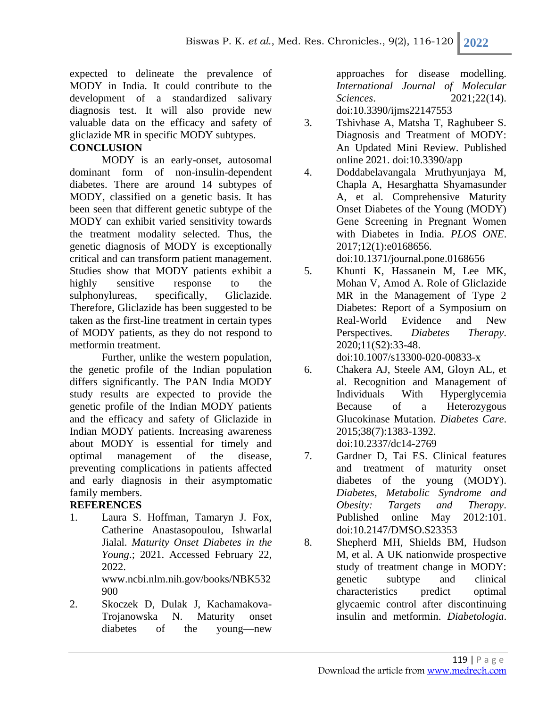expected to delineate the prevalence of MODY in India. It could contribute to the development of a standardized salivary diagnosis test. It will also provide new valuable data on the efficacy and safety of gliclazide MR in specific MODY subtypes.

## **CONCLUSION**

MODY is an early-onset, autosomal dominant form of non-insulin-dependent diabetes. There are around 14 subtypes of MODY, classified on a genetic basis. It has been seen that different genetic subtype of the MODY can exhibit varied sensitivity towards the treatment modality selected. Thus, the genetic diagnosis of MODY is exceptionally critical and can transform patient management. Studies show that MODY patients exhibit a highly sensitive response to the sulphonylureas, specifically, Gliclazide. Therefore, Gliclazide has been suggested to be taken as the first-line treatment in certain types of MODY patients, as they do not respond to metformin treatment.

Further, unlike the western population, the genetic profile of the Indian population differs significantly. The PAN India MODY study results are expected to provide the genetic profile of the Indian MODY patients and the efficacy and safety of Gliclazide in Indian MODY patients. Increasing awareness about MODY is essential for timely and optimal management of the disease, preventing complications in patients affected and early diagnosis in their asymptomatic family members.

## **REFERENCES**

- 1. Laura S. Hoffman, Tamaryn J. Fox, Catherine Anastasopoulou, Ishwarlal Jialal. *Maturity Onset Diabetes in the Young*.; 2021. Accessed February 22, 2022. www.ncbi.nlm.nih.gov/books/NBK532 900
- 2. Skoczek D, Dulak J, Kachamakova-Trojanowska N. Maturity onset diabetes of the young—new

approaches for disease modelling. *International Journal of Molecular Sciences*. 2021;22(14). doi:10.3390/ijms22147553

- 3. Tshivhase A, Matsha T, Raghubeer S. Diagnosis and Treatment of MODY: An Updated Mini Review. Published online 2021. doi:10.3390/app
- 4. Doddabelavangala Mruthyunjaya M, Chapla A, Hesarghatta Shyamasunder A, et al. Comprehensive Maturity Onset Diabetes of the Young (MODY) Gene Screening in Pregnant Women with Diabetes in India. *PLOS ONE*. 2017;12(1):e0168656. doi:10.1371/journal.pone.0168656
- 5. Khunti K, Hassanein M, Lee MK, Mohan V, Amod A. Role of Gliclazide MR in the Management of Type 2 Diabetes: Report of a Symposium on Real-World Evidence and New Perspectives. *Diabetes Therapy*. 2020;11(S2):33-48. doi:10.1007/s13300-020-00833-x

- 6. Chakera AJ, Steele AM, Gloyn AL, et al. Recognition and Management of Individuals With Hyperglycemia Because of a Heterozygous Glucokinase Mutation. *Diabetes Care*. 2015;38(7):1383-1392. doi:10.2337/dc14-2769
- 7. Gardner D, Tai ES. Clinical features and treatment of maturity onset diabetes of the young (MODY). *Diabetes, Metabolic Syndrome and Obesity: Targets and Therapy*. Published online May 2012:101. doi:10.2147/DMSO.S23353
- 8. Shepherd MH, Shields BM, Hudson M, et al. A UK nationwide prospective study of treatment change in MODY: genetic subtype and clinical characteristics predict optimal glycaemic control after discontinuing insulin and metformin. *Diabetologia*.